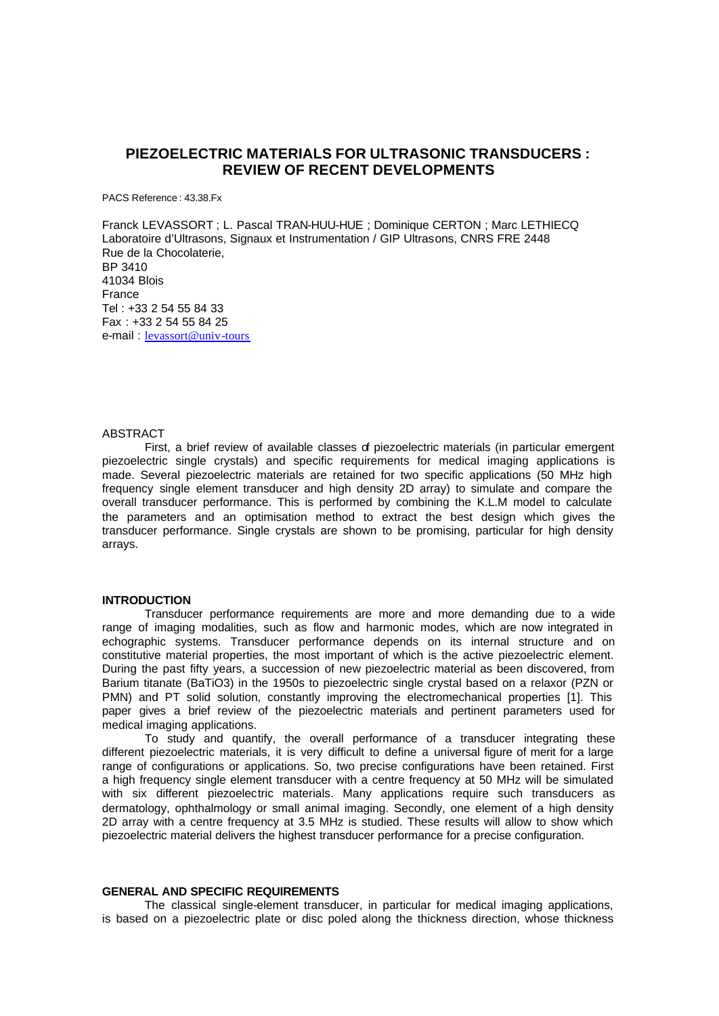# **PIEZOELECTRIC MATERIALS FOR ULTRASONIC TRANSDUCERS : REVIEW OF RECENT DEVELOPMENTS**

PACS Reference : 43.38.Fx

Franck LEVASSORT ; L. Pascal TRAN-HUU-HUE ; Dominique CERTON ; Marc LETHIECQ Laboratoire d'Ultrasons, Signaux et Instrumentation / GIP Ultrasons, CNRS FRE 2448 Rue de la Chocolaterie, BP 3410 41034 Blois France Tel : +33 2 54 55 84 33 Fax : +33 2 54 55 84 25 e-mail : levassort@univ-tours

#### **ABSTRACT**

First, a brief review of available classes of piezoelectric materials (in particular emergent piezoelectric single crystals) and specific requirements for medical imaging applications is made. Several piezoelectric materials are retained for two specific applications (50 MHz high frequency single element transducer and high density 2D array) to simulate and compare the overall transducer performance. This is performed by combining the K.L.M model to calculate the parameters and an optimisation method to extract the best design which gives the transducer performance. Single crystals are shown to be promising, particular for high density arrays.

# **INTRODUCTION**

Transducer performance requirements are more and more demanding due to a wide range of imaging modalities, such as flow and harmonic modes, which are now integrated in echographic systems. Transducer performance depends on its internal structure and on constitutive material properties, the most important of which is the active piezoelectric element. During the past fifty years, a succession of new piezoelectric material as been discovered, from Barium titanate (BaTiO3) in the 1950s to piezoelectric single crystal based on a relaxor (PZN or PMN) and PT solid solution, constantly improving the electromechanical properties [1]. This paper gives a brief review of the piezoelectric materials and pertinent parameters used for medical imaging applications.

To study and quantify, the overall performance of a transducer integrating these different piezoelectric materials, it is very difficult to define a universal figure of merit for a large range of configurations or applications. So, two precise configurations have been retained. First a high frequency single element transducer with a centre frequency at 50 MHz will be simulated with six different piezoelectric materials. Many applications require such transducers as dermatology, ophthalmology or small animal imaging. Secondly, one element of a high density 2D array with a centre frequency at 3.5 MHz is studied. These results will allow to show which piezoelectric material delivers the highest transducer performance for a precise configuration.

# **GENERAL AND SPECIFIC REQUIREMENTS**

The classical single-element transducer, in particular for medical imaging applications, is based on a piezoelectric plate or disc poled along the thickness direction, whose thickness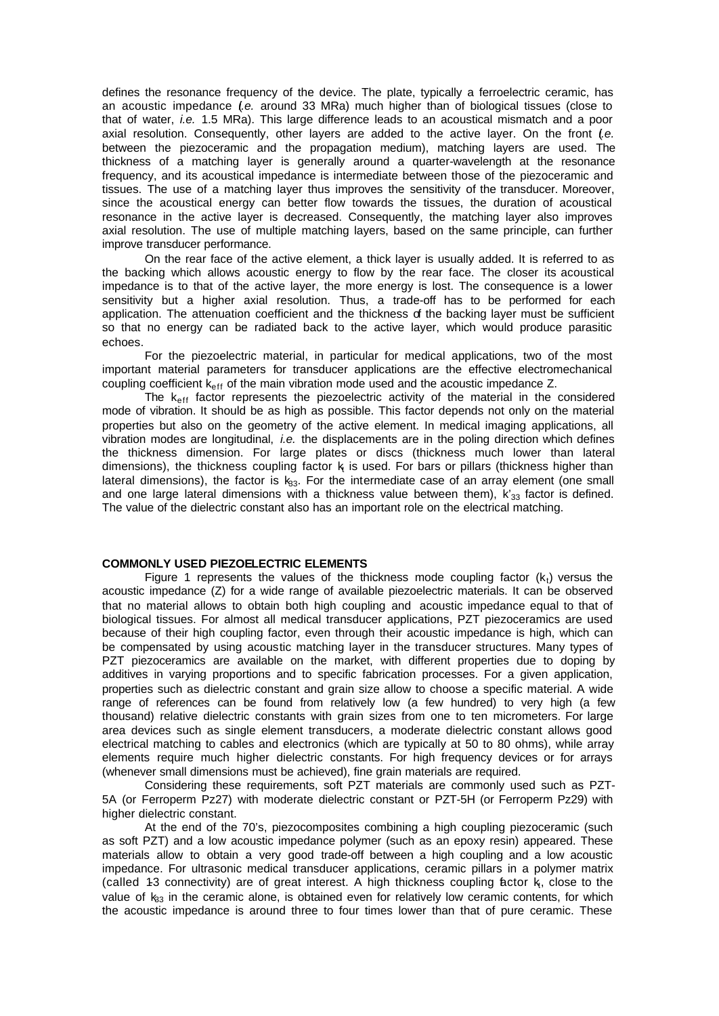defines the resonance frequency of the device. The plate, typically a ferroelectric ceramic, has an acoustic impedance (*i.e.* around 33 MRa) much higher than of biological tissues (close to that of water, *i.e.* 1.5 MRa). This large difference leads to an acoustical mismatch and a poor axial resolution. Consequently, other layers are added to the active layer. On the front (*i.e.* between the piezoceramic and the propagation medium), matching layers are used. The thickness of a matching layer is generally around a quarter-wavelength at the resonance frequency, and its acoustical impedance is intermediate between those of the piezoceramic and tissues. The use of a matching layer thus improves the sensitivity of the transducer. Moreover, since the acoustical energy can better flow towards the tissues, the duration of acoustical resonance in the active layer is decreased. Consequently, the matching layer also improves axial resolution. The use of multiple matching layers, based on the same principle, can further improve transducer performance.

On the rear face of the active element, a thick layer is usually added. It is referred to as the backing which allows acoustic energy to flow by the rear face. The closer its acoustical impedance is to that of the active layer, the more energy is lost. The consequence is a lower sensitivity but a higher axial resolution. Thus, a trade-off has to be performed for each application. The attenuation coefficient and the thickness of the backing layer must be sufficient so that no energy can be radiated back to the active layer, which would produce parasitic echoes.

For the piezoelectric material, in particular for medical applications, two of the most important material parameters for transducer applications are the effective electromechanical coupling coefficient k<sub>eff</sub> of the main vibration mode used and the acoustic impedance Z.

The  $k<sub>eff</sub>$  factor represents the piezoelectric activity of the material in the considered mode of vibration. It should be as high as possible. This factor depends not only on the material properties but also on the geometry of the active element. In medical imaging applications, all vibration modes are longitudinal, *i.e.* the displacements are in the poling direction which defines the thickness dimension. For large plates or discs (thickness much lower than lateral dimensions), the thickness coupling factor  $k_i$  is used. For bars or pillars (thickness higher than lateral dimensions), the factor is  $k_{3}$ . For the intermediate case of an array element (one small and one large lateral dimensions with a thickness value between them),  $k'_{33}$  factor is defined. The value of the dielectric constant also has an important role on the electrical matching.

# **COMMONLY USED PIEZOELECTRIC ELEMENTS**

Figure 1 represents the values of the thickness mode coupling factor  $(k<sub>t</sub>)$  versus the acoustic impedance (Z) for a wide range of available piezoelectric materials. It can be observed that no material allows to obtain both high coupling and acoustic impedance equal to that of biological tissues. For almost all medical transducer applications, PZT piezoceramics are used because of their high coupling factor, even through their acoustic impedance is high, which can be compensated by using acoustic matching layer in the transducer structures. Many types of PZT piezoceramics are available on the market, with different properties due to doping by additives in varying proportions and to specific fabrication processes. For a given application, properties such as dielectric constant and grain size allow to choose a specific material. A wide range of references can be found from relatively low (a few hundred) to very high (a few thousand) relative dielectric constants with grain sizes from one to ten micrometers. For large area devices such as single element transducers, a moderate dielectric constant allows good electrical matching to cables and electronics (which are typically at 50 to 80 ohms), while array elements require much higher dielectric constants. For high frequency devices or for arrays (whenever small dimensions must be achieved), fine grain materials are required.

Considering these requirements, soft PZT materials are commonly used such as PZT-5A (or Ferroperm Pz27) with moderate dielectric constant or PZT-5H (or Ferroperm Pz29) with higher dielectric constant.

At the end of the 70's, piezocomposites combining a high coupling piezoceramic (such as soft PZT) and a low acoustic impedance polymer (such as an epoxy resin) appeared. These materials allow to obtain a very good trade-off between a high coupling and a low acoustic impedance. For ultrasonic medical transducer applications, ceramic pillars in a polymer matrix (called 1-3 connectivity) are of great interest. A high thickness coupling factor  $k_t$ , close to the value of  $k_{33}$  in the ceramic alone, is obtained even for relatively low ceramic contents, for which the acoustic impedance is around three to four times lower than that of pure ceramic. These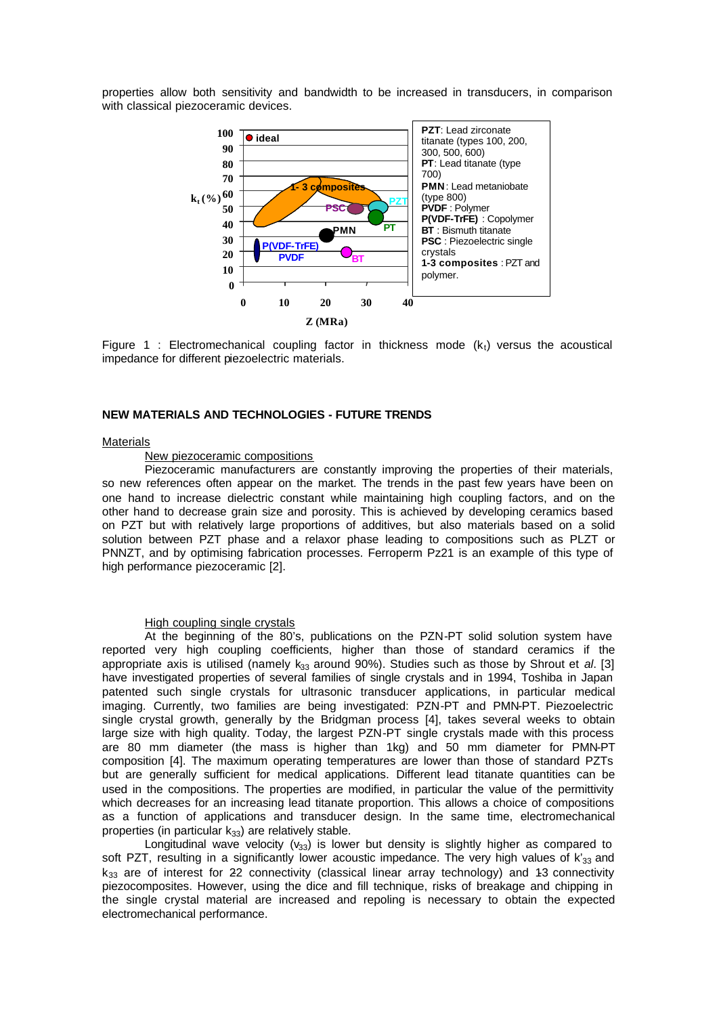properties allow both sensitivity and bandwidth to be increased in transducers, in comparison with classical piezoceramic devices.



Figure 1 : Electromechanical coupling factor in thickness mode  $(k<sub>t</sub>)$  versus the acoustical impedance for different piezoelectric materials.

## **NEW MATERIALS AND TECHNOLOGIES - FUTURE TRENDS**

#### **Materials**

### New piezoceramic compositions

Piezoceramic manufacturers are constantly improving the properties of their materials, so new references often appear on the market. The trends in the past few years have been on one hand to increase dielectric constant while maintaining high coupling factors, and on the other hand to decrease grain size and porosity. This is achieved by developing ceramics based on PZT but with relatively large proportions of additives, but also materials based on a solid solution between PZT phase and a relaxor phase leading to compositions such as PLZT or PNNZT, and by optimising fabrication processes. Ferroperm Pz21 is an example of this type of high performance piezoceramic [2].

#### High coupling single crystals

At the beginning of the 80's, publications on the PZN-PT solid solution system have reported very high coupling coefficients, higher than those of standard ceramics if the appropriate axis is utilised (namely k<sub>33</sub> around 90%). Studies such as those by Shrout et *al.* [3] have investigated properties of several families of single crystals and in 1994, Toshiba in Japan patented such single crystals for ultrasonic transducer applications, in particular medical imaging. Currently, two families are being investigated: PZN-PT and PMN-PT. Piezoelectric single crystal growth, generally by the Bridgman process [4], takes several weeks to obtain large size with high quality. Today, the largest PZN-PT single crystals made with this process are 80 mm diameter (the mass is higher than 1kg) and 50 mm diameter for PMN-PT composition [4]. The maximum operating temperatures are lower than those of standard PZTs but are generally sufficient for medical applications. Different lead titanate quantities can be used in the compositions. The properties are modified, in particular the value of the permittivity which decreases for an increasing lead titanate proportion. This allows a choice of compositions as a function of applications and transducer design. In the same time, electromechanical properties (in particular  $k_{33}$ ) are relatively stable.

Longitudinal wave velocity  $(v_{33})$  is lower but density is slightly higher as compared to soft PZT, resulting in a significantly lower acoustic impedance. The very high values of  $k'_{33}$  and  $k_{33}$  are of interest for 22 connectivity (classical linear array technology) and 13 connectivity piezocomposites. However, using the dice and fill technique, risks of breakage and chipping in the single crystal material are increased and repoling is necessary to obtain the expected electromechanical performance.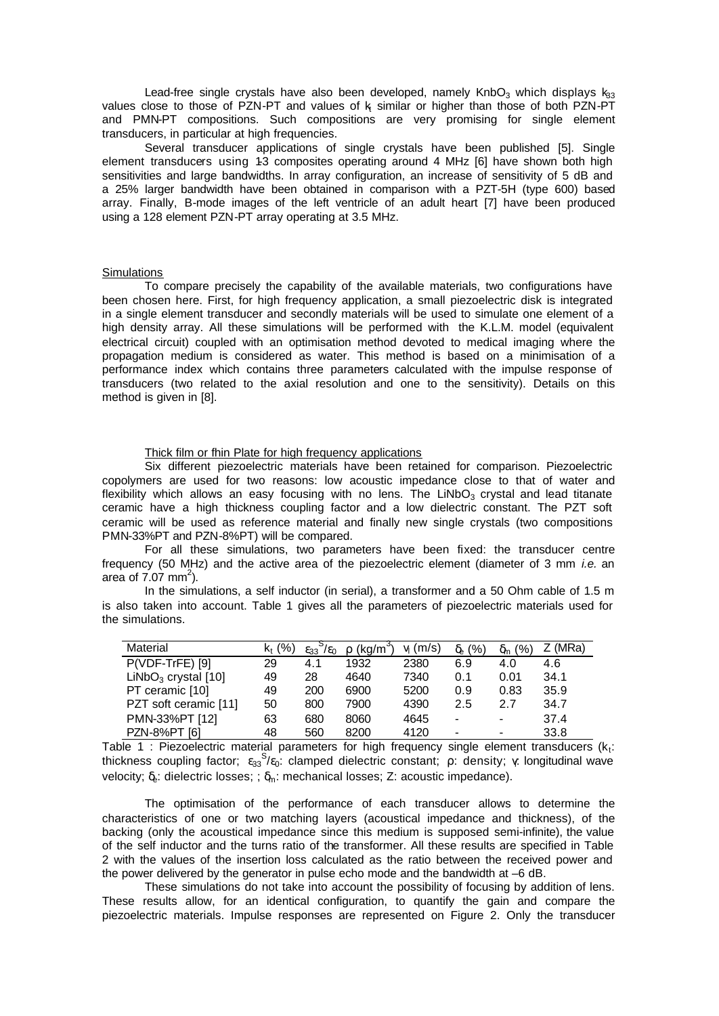Lead-free single crystals have also been developed, namely KnbO<sub>3</sub> which displays  $k_{33}$ values close to those of PZN-PT and values of  $k_i$  similar or higher than those of both PZN-PT and PMN-PT compositions. Such compositions are very promising for single element transducers, in particular at high frequencies.

Several transducer applications of single crystals have been published [5]. Single element transducers using 1-3 composites operating around 4 MHz [6] have shown both high sensitivities and large bandwidths. In array configuration, an increase of sensitivity of 5 dB and a 25% larger bandwidth have been obtained in comparison with a PZT-5H (type 600) based array. Finally, B-mode images of the left ventricle of an adult heart [7] have been produced using a 128 element PZN-PT array operating at 3.5 MHz.

# **Simulations**

To compare precisely the capability of the available materials, two configurations have been chosen here. First, for high frequency application, a small piezoelectric disk is integrated in a single element transducer and secondly materials will be used to simulate one element of a high density array. All these simulations will be performed with the K.L.M. model (equivalent electrical circuit) coupled with an optimisation method devoted to medical imaging where the propagation medium is considered as water. This method is based on a minimisation of a performance index which contains three parameters calculated with the impulse response of transducers (two related to the axial resolution and one to the sensitivity). Details on this method is given in [8].

# Thick film or fhin Plate for high frequency applications

Six different piezoelectric materials have been retained for comparison. Piezoelectric copolymers are used for two reasons: low acoustic impedance close to that of water and flexibility which allows an easy focusing with no lens. The LiNbO<sub>3</sub> crystal and lead titanate ceramic have a high thickness coupling factor and a low dielectric constant. The PZT soft ceramic will be used as reference material and finally new single crystals (two compositions PMN-33%PT and PZN-8%PT) will be compared.

For all these simulations, two parameters have been fixed: the transducer centre frequency (50 MHz) and the active area of the piezoelectric element (diameter of 3 mm *i.e.* an area of  $7.07$  mm<sup>2</sup>).

In the simulations, a self inductor (in serial), a transformer and a 50 Ohm cable of 1.5 m is also taken into account. Table 1 gives all the parameters of piezoelectric materials used for the simulations.

| Material              | $k_{t}$ (%) | 7ε∩<br>$E_{33}$ | $(kq/m^3)$ | $v_i$ (m/s) | $\delta_e$ (%) | (%)<br>δm | (MRa) |
|-----------------------|-------------|-----------------|------------|-------------|----------------|-----------|-------|
| P(VDF-TrFE) [9]       | 29          | 4.1             | 1932       | 2380        | 6.9            | 4.0       | 4.6   |
| $LiNbO3$ crystal [10] | 49          | 28              | 4640       | 7340        | 0.1            | 0.01      | 34.1  |
| PT ceramic [10]       | 49          | 200             | 6900       | 5200        | 0.9            | 0.83      | 35.9  |
| PZT soft ceramic [11] | 50          | 800             | 7900       | 4390        | 2.5            | 2.7       | 34.7  |
| PMN-33%PT [12]        | 63          | 680             | 8060       | 4645        | -              | -         | 37.4  |
| PZN-8%PT [6]          | 48          | 560             | 8200       | 4120        | -              | -         | 33.8  |

Table 1 : Piezoelectric material parameters for high frequency single element transducers ( $k_t$ : thickness coupling factor;  $\varepsilon_{33}^{S}/\varepsilon_{0}$ : clamped dielectric constant; ρ: density; γ longitudinal wave velocity;  $\delta_{\rm e}$ : dielectric losses; ;  $\delta_{\rm m}$ : mechanical losses; Z: acoustic impedance).

The optimisation of the performance of each transducer allows to determine the characteristics of one or two matching layers (acoustical impedance and thickness), of the backing (only the acoustical impedance since this medium is supposed semi-infinite), the value of the self inductor and the turns ratio of the transformer. All these results are specified in Table 2 with the values of the insertion loss calculated as the ratio between the received power and the power delivered by the generator in pulse echo mode and the bandwidth at –6 dB.

These simulations do not take into account the possibility of focusing by addition of lens. These results allow, for an identical configuration, to quantify the gain and compare the piezoelectric materials. Impulse responses are represented on Figure 2. Only the transducer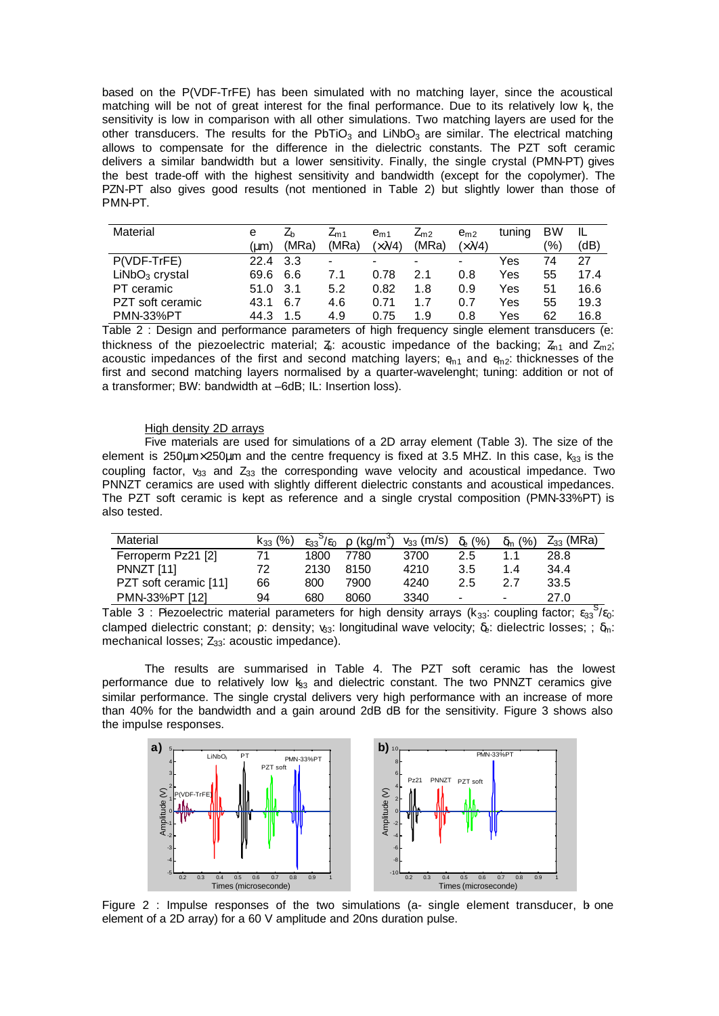based on the P(VDF-TrFE) has been simulated with no matching layer, since the acoustical matching will be not of great interest for the final performance. Due to its relatively low  $k$ , the sensitivity is low in comparison with all other simulations. Two matching layers are used for the other transducers. The results for the PbTiO<sub>3</sub> and LiNbO<sub>3</sub> are similar. The electrical matching allows to compensate for the difference in the dielectric constants. The PZT soft ceramic delivers a similar bandwidth but a lower sensitivity. Finally, the single crystal (PMN-PT) gives the best trade-off with the highest sensitivity and bandwidth (except for the copolymer). The PZN-PT also gives good results (not mentioned in Table 2) but slightly lower than those of PMN-PT.

| Material         | е    | ∠⊾    | $\mathcal{L}_{m1}$ | $e_{m1}$       | $Z_{m2}$ | $e_{m2}$             | tuning | <b>BW</b> |      |
|------------------|------|-------|--------------------|----------------|----------|----------------------|--------|-----------|------|
|                  | (um) | (MRa) | (MRa)              | $(\times 3/4)$ | (MRa)    | $(\times \lambda/4)$ |        | '%)       | (dB  |
| P(VDF-TrFE)      | 22.4 | 3.3   | -                  | -              |          | $\blacksquare$       | Yes    | 74        | 27   |
| $LiNbO3$ crystal | 69.6 | 6.6   | 7.1                | 0.78           | 2.1      | 0.8                  | Yes    | 55        | 17.4 |
| PT ceramic       | 51.0 | 3.1   | 5.2                | 0.82           | 1.8      | 0.9                  | Yes    | 51        | 16.6 |
| PZT soft ceramic | 43.1 | 6.7   | 4.6                | 0.71           | 1.7      | 0.7                  | Yes    | 55        | 19.3 |
| <b>PMN-33%PT</b> | 44.3 | .5    | 4.9                | 0.75           | 1.9      | 0.8                  | Yes    | 62        | 16.8 |

Table 2 : Design and performance parameters of high frequency single element transducers (e: thickness of the piezoelectric material;  $\zeta$ : acoustic impedance of the backing;  $\zeta_{n1}$  and  $\zeta_{n2}$ ; acoustic impedances of the first and second matching layers;  $\varphi_{n1}$  and  $\varphi_{n2}$ : thicknesses of the first and second matching layers normalised by a quarter-wavelenght; tuning: addition or not of a transformer; BW: bandwidth at –6dB; IL: Insertion loss).

## High density 2D arrays

Five materials are used for simulations of a 2D array element (Table 3). The size of the element is 250 km  $\times$  250 km and the centre frequency is fixed at 3.5 MHZ. In this case,  $k_{33}$  is the coupling factor,  $v_{33}$  and  $Z_{33}$  the corresponding wave velocity and acoustical impedance. Two PNNZT ceramics are used with slightly different dielectric constants and acoustical impedances. The PZT soft ceramic is kept as reference and a single crystal composition (PMN-33%PT) is also tested.

| Material              | $k_{33}$ (%) | $\frac{9}{5}$<br>$E_{33}$ | $\rho$ (kg/m <sup>3</sup> ) | $v_{33}$ (m/s) | $\delta_e$ (%)           | (% )<br>$\delta_{\rm m}$ ( | $Z_{33}$ (MRa) |
|-----------------------|--------------|---------------------------|-----------------------------|----------------|--------------------------|----------------------------|----------------|
| Ferroperm Pz21 [2]    |              | 1800                      | 7780                        | 3700           | 2.5                      |                            | 28.8           |
| PNNZT [11]            | 72           | 2130                      | 8150                        | 4210           | 3.5                      | 1.4                        | 34.4           |
| PZT soft ceramic [11] | 66           | 800                       | 7900                        | 4240           | 2.5                      | 27                         | 33.5           |
| PMN-33%PT [12]        | 94           | 680                       | 8060                        | 3340           | $\overline{\phantom{0}}$ |                            | 27.0           |

Table 3 : Piezoelectric material parameters for high density arrays ( $k_{33}$ : coupling factor;  $\varepsilon_{33}$ <sup>S</sup>/ $\varepsilon_{0}$ : clamped dielectric constant; ρ: density; v<sub>33</sub>: longitudinal wave velocity; δ<sub>ε</sub>: dielectric losses; ; δ<sub>m</sub>: mechanical losses;  $Z_{33}$ : acoustic impedance).

The results are summarised in Table 4. The PZT soft ceramic has the lowest performance due to relatively low  $k_{33}$  and dielectric constant. The two PNNZT ceramics give similar performance. The single crystal delivers very high performance with an increase of more than 40% for the bandwidth and a gain around 2dB dB for the sensitivity. Figure 3 shows also the impulse responses.



Figure 2 : Impulse responses of the two simulations (a- single element transducer, b- one element of a 2D array) for a 60 V amplitude and 20ns duration pulse.